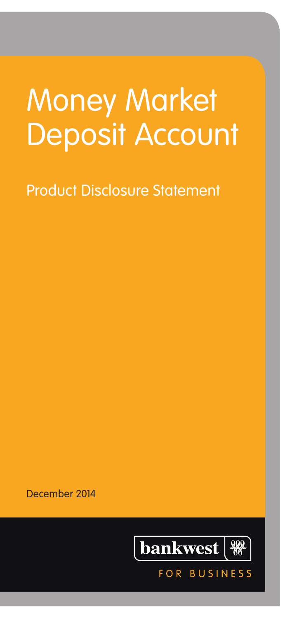# Money Market Deposit Account

Product Disclosure Statement

December 2014



 $F \cap R$ 

**BUSINESS**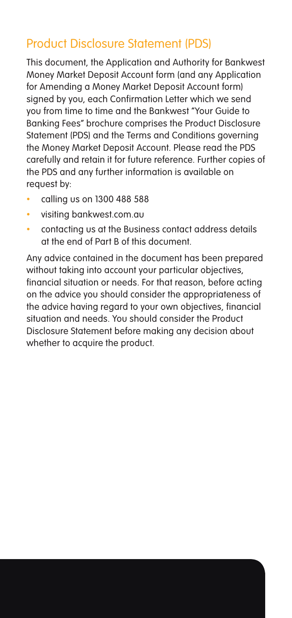### Product Disclosure Statement (PDS)

This document, the Application and Authority for Bankwest Money Market Deposit Account form (and any Application for Amending a Money Market Deposit Account form) signed by you, each Confirmation Letter which we send you from time to time and the Bankwest "Your Guide to Banking Fees" brochure comprises the Product Disclosure Statement (PDS) and the Terms and Conditions governing the Money Market Deposit Account. Please read the PDS carefully and retain it for future reference. Further copies of the PDS and any further information is available on request by:

- calling us on 1300 488 588
- visiting bankwest.com.au
- • contacting us at the Business contact address details at the end of Part B of this document.

Any advice contained in the document has been prepared without taking into account your particular objectives, financial situation or needs. For that reason, before acting on the advice you should consider the appropriateness of the advice having regard to your own objectives, financial situation and needs. You should consider the Product Disclosure Statement before making any decision about whether to acquire the product.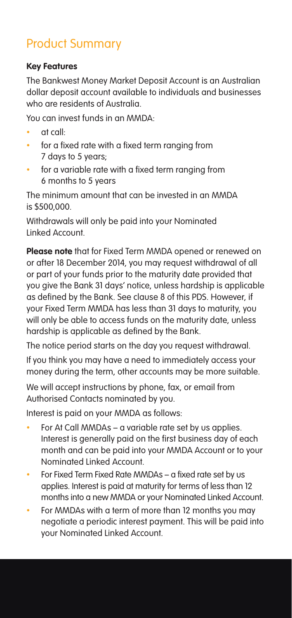### Product Summary

#### **Key Features**

The Bankwest Money Market Deposit Account is an Australian dollar deposit account available to individuals and businesses who are residents of Australia.

You can invest funds in an MMDA:

- at call:
- for a fixed rate with a fixed term ranging from 7 days to 5 years;
- for a variable rate with a fixed term ranging from 6 months to 5 years

The minimum amount that can be invested in an MMDA is \$500,000.

Withdrawals will only be paid into your Nominated Linked Account.

**Please note** that for Fixed Term MMDA opened or renewed on or after 18 December 2014, you may request withdrawal of all or part of your funds prior to the maturity date provided that you give the Bank 31 days' notice, unless hardship is applicable as defined by the Bank. See clause 8 of this PDS. However, if your Fixed Term MMDA has less than 31 days to maturity, you will only be able to access funds on the maturity date, unless hardship is applicable as defined by the Bank.

The notice period starts on the day you request withdrawal.

If you think you may have a need to immediately access your money during the term, other accounts may be more suitable.

We will accept instructions by phone, fax, or email from Authorised Contacts nominated by you.

Interest is paid on your MMDA as follows:

- For At Call MMDAs a variable rate set by us applies. Interest is generally paid on the first business day of each month and can be paid into your MMDA Account or to your Nominated Linked Account.
- For Fixed Term Fixed Rate MMDAs a fixed rate set by us applies. Interest is paid at maturity for terms of less than 12 months into a new MMDA or your Nominated Linked Account.
- For MMDAs with a term of more than 12 months you may negotiate a periodic interest payment. This will be paid into your Nominated Linked Account.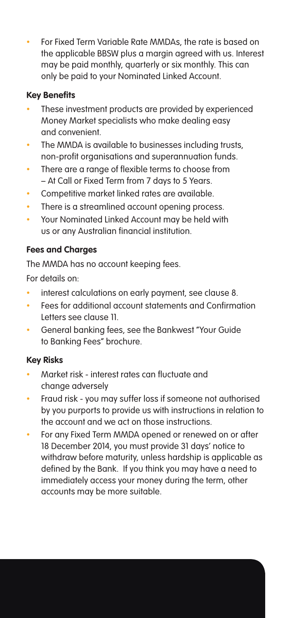For Fixed Term Variable Rate MMDAs, the rate is based on the applicable BBSW plus a margin agreed with us. Interest may be paid monthly, quarterly or six monthly. This can only be paid to your Nominated Linked Account.

#### **Key Benefits**

- These investment products are provided by experienced Money Market specialists who make dealing easy and convenient.
- The MMDA is available to businesses including trusts, non-profit organisations and superannuation funds.
- There are a range of flexible terms to choose from – At Call or Fixed Term from 7 days to 5 Years.
- Competitive market linked rates are available.
- There is a streamlined account opening process.
- Your Nominated Linked Account may be held with us or any Australian financial institution.

#### **Fees and Charges**

The MMDA has no account keeping fees.

For details on:

- interest calculations on early payment, see clause 8.
- Fees for additional account statements and Confirmation Letters see clause 11.
- General banking fees, see the Bankwest "Your Guide to Banking Fees" brochure.

#### **Key Risks**

- Market risk interest rates can fluctuate and change adversely
- Fraud risk you may suffer loss if someone not authorised by you purports to provide us with instructions in relation to the account and we act on those instructions.
- For any Fixed Term MMDA opened or renewed on or after 18 December 2014, you must provide 31 days' notice to withdraw before maturity, unless hardship is applicable as defined by the Bank. If you think you may have a need to immediately access your money during the term, other accounts may be more suitable.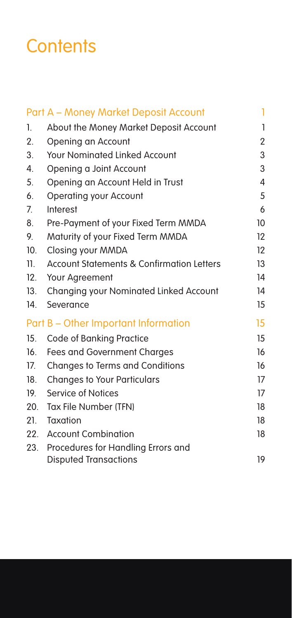# **Contents**

|     | Part A - Money Market Deposit Account     | 1                 |
|-----|-------------------------------------------|-------------------|
| 1.  | About the Money Market Deposit Account    | 1                 |
| 2.  | Opening an Account                        | $\overline{2}$    |
| 3.  | <b>Your Nominated Linked Account</b>      | 3                 |
| 4.  | Opening a Joint Account                   | 3                 |
| 5.  | Opening an Account Held in Trust          | 4                 |
| 6.  | Operating your Account                    | 5                 |
| 7.  | Interest                                  | 6                 |
| 8.  | Pre-Payment of your Fixed Term MMDA       | 10                |
| 9.  | Maturity of your Fixed Term MMDA          | $12 \overline{ }$ |
| 10. | Closing your MMDA                         | $12 \overline{ }$ |
| 11. | Account Statements & Confirmation Letters | 13                |
| 12. | Your Agreement                            | 14                |
| 13. | Changing your Nominated Linked Account    | 14                |
| 14. | Severance                                 | 15                |
|     | Part B - Other Important Information      | 15                |
| 15. | Code of Banking Practice                  | 15                |
| 16. | Fees and Government Charges               | 16                |
| 17. | Changes to Terms and Conditions           | 16                |
| 18. | <b>Changes to Your Particulars</b>        | 17                |
| 19. | Service of Notices                        | 17                |
| 20. | Tax File Number (TFN)                     | 18                |
| 21. | Taxation                                  | 18                |
| 22. | <b>Account Combination</b>                | 18                |
| 23. | Procedures for Handling Errors and        |                   |
|     | <b>Disputed Transactions</b>              | 19                |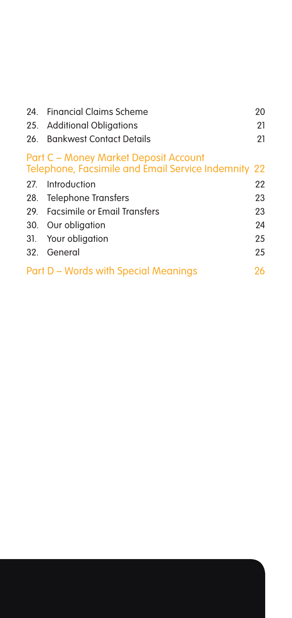|                                                                                              | 24. Financial Claims Scheme          | 20 |  |
|----------------------------------------------------------------------------------------------|--------------------------------------|----|--|
|                                                                                              | 25. Additional Obligations           | 21 |  |
|                                                                                              | 26. Bankwest Contact Details         | 21 |  |
| Part C - Money Market Deposit Account<br>Telephone, Facsimile and Email Service Indemnity 22 |                                      |    |  |
|                                                                                              | 27. Introduction                     | 22 |  |
|                                                                                              | 28. Telephone Transfers              | 23 |  |
|                                                                                              | 29. Facsimile or Email Transfers     | 23 |  |
|                                                                                              | 30. Our obligation                   | 24 |  |
|                                                                                              | 31. Your obligation                  | 25 |  |
|                                                                                              | 32. General                          | 25 |  |
|                                                                                              | Part D - Words with Special Meanings | 26 |  |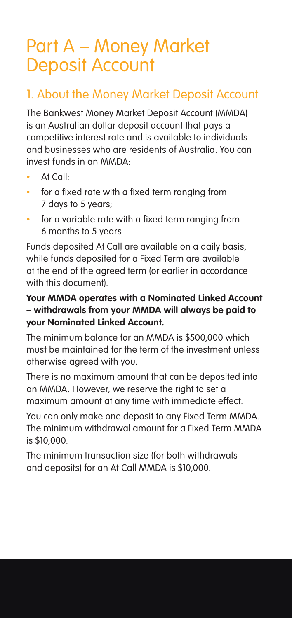# Part A – Money Market Deposit Account

### 1. About the Money Market Deposit Account

The Bankwest Money Market Deposit Account (MMDA) is an Australian dollar deposit account that pays a competitive interest rate and is available to individuals and businesses who are residents of Australia. You can invest funds in an MMDA:

- At Call:
- for a fixed rate with a fixed term ranging from 7 days to 5 years;
- for a variable rate with a fixed term ranging from 6 months to 5 years

Funds deposited At Call are available on a daily basis, while funds deposited for a Fixed Term are available at the end of the agreed term (or earlier in accordance with this document).

#### **Your MMDA operates with a Nominated Linked Account – withdrawals from your MMDA will always be paid to your Nominated Linked Account.**

The minimum balance for an MMDA is \$500,000 which must be maintained for the term of the investment unless otherwise agreed with you.

There is no maximum amount that can be deposited into an MMDA. However, we reserve the right to set a maximum amount at any time with immediate effect.

You can only make one deposit to any Fixed Term MMDA. The minimum withdrawal amount for a Fixed Term MMDA is \$10,000.

The minimum transaction size (for both withdrawals and deposits) for an At Call MMDA is \$10,000.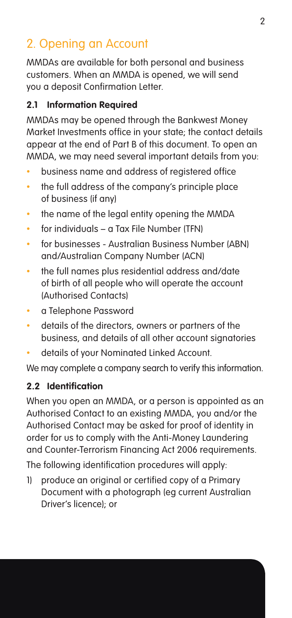### 2. Opening an Account

MMDAs are available for both personal and business customers. When an MMDA is opened, we will send you a deposit Confirmation Letter.

#### **2.1 Information Required**

MMDAs may be opened through the Bankwest Money Market Investments office in your state; the contact details appear at the end of Part B of this document. To open an MMDA, we may need several important details from you:

- business name and address of registered office
- the full address of the company's principle place of business (if any)
- the name of the legal entity opening the MMDA
- $\cdot$  for individuals a Tax File Number (TFN)
- for businesses Australian Business Number (ABN) and/Australian Company Number (ACN)
- the full names plus residential address and/date of birth of all people who will operate the account (Authorised Contacts)
- • a Telephone Password
- details of the directors, owners or partners of the business, and details of all other account signatories
- details of your Nominated Linked Account.

We may complete a company search to verify this information.

#### **2.2 Identification**

When you open an MMDA, or a person is appointed as an Authorised Contact to an existing MMDA, you and/or the Authorised Contact may be asked for proof of identity in order for us to comply with the Anti-Money Laundering and Counter-Terrorism Financing Act 2006 requirements.

The following identification procedures will apply:

1) produce an original or certified copy of a Primary Document with a photograph (eg current Australian Driver's licence); or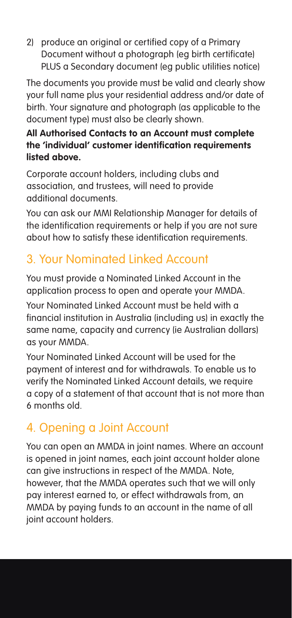2) produce an original or certified copy of a Primary Document without a photograph (eg birth certificate) PLUS a Secondary document (eg public utilities notice)

The documents you provide must be valid and clearly show your full name plus your residential address and/or date of birth. Your signature and photograph (as applicable to the document type) must also be clearly shown.

#### **All Authorised Contacts to an Account must complete the 'individual' customer identification requirements listed above.**

Corporate account holders, including clubs and association, and trustees, will need to provide additional documents.

You can ask our MMI Relationship Manager for details of the identification requirements or help if you are not sure about how to satisfy these identification requirements.

### 3. Your Nominated Linked Account

You must provide a Nominated Linked Account in the application process to open and operate your MMDA.

Your Nominated Linked Account must be held with a financial institution in Australia (including us) in exactly the same name, capacity and currency (ie Australian dollars) as your MMDA.

Your Nominated Linked Account will be used for the payment of interest and for withdrawals. To enable us to verify the Nominated Linked Account details, we require a copy of a statement of that account that is not more than 6 months old.

### 4. Opening a Joint Account

You can open an MMDA in joint names. Where an account is opened in joint names, each joint account holder alone can give instructions in respect of the MMDA. Note, however, that the MMDA operates such that we will only pay interest earned to, or effect withdrawals from, an MMDA by paying funds to an account in the name of all joint account holders.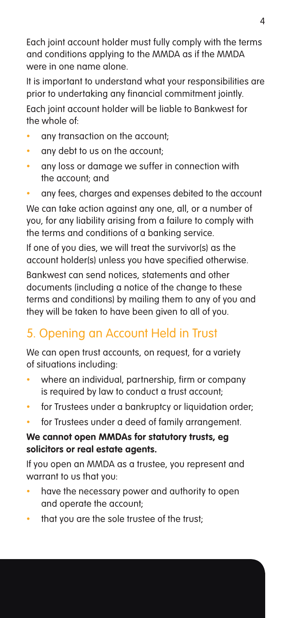Each joint account holder must fully comply with the terms and conditions applying to the MMDA as if the MMDA were in one name alone.

It is important to understand what your responsibilities are prior to undertaking any financial commitment jointly. Each joint account holder will be liable to Bankwest for the whole of:

- any transaction on the account:
- any debt to us on the account:
- • any loss or damage we suffer in connection with the account; and
- any fees, charges and expenses debited to the account

We can take action against any one, all, or a number of you, for any liability arising from a failure to comply with the terms and conditions of a banking service.

If one of you dies, we will treat the survivor(s) as the account holder(s) unless you have specified otherwise.

Bankwest can send notices, statements and other documents (including a notice of the change to these terms and conditions) by mailing them to any of you and they will be taken to have been given to all of you.

### 5. Opening an Account Held in Trust

We can open trust accounts, on request, for a variety of situations including:

- where an individual, partnership, firm or company is required by law to conduct a trust account;
- for Trustees under a bankruptcy or liquidation order;
- for Trustees under a deed of family arrangement.

#### **We cannot open MMDAs for statutory trusts, eg solicitors or real estate agents.**

If you open an MMDA as a trustee, you represent and warrant to us that you:

- have the necessary power and authority to open and operate the account;
- that you are the sole trustee of the trust;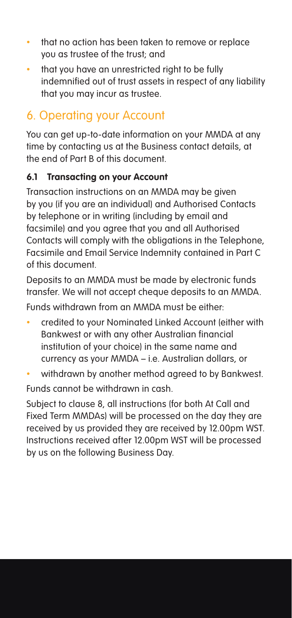- that no action has been taken to remove or replace you as trustee of the trust; and
- that you have an unrestricted right to be fully indemnified out of trust assets in respect of any liability that you may incur as trustee.

### 6. Operating your Account

You can get up-to-date information on your MMDA at any time by contacting us at the Business contact details, at the end of Part B of this document.

#### **6.1 Transacting on your Account**

Transaction instructions on an MMDA may be given by you (if you are an individual) and Authorised Contacts by telephone or in writing (including by email and facsimile) and you agree that you and all Authorised Contacts will comply with the obligations in the Telephone, Facsimile and Email Service Indemnity contained in Part C of this document.

Deposits to an MMDA must be made by electronic funds transfer. We will not accept cheque deposits to an MMDA.

Funds withdrawn from an MMDA must be either:

- credited to your Nominated Linked Account (either with Bankwest or with any other Australian financial institution of your choice) in the same name and currency as your MMDA – i.e. Australian dollars, or
- withdrawn by another method agreed to by Bankwest.

Funds cannot be withdrawn in cash.

Subject to clause 8, all instructions (for both At Call and Fixed Term MMDAs) will be processed on the day they are received by us provided they are received by 12.00pm WST. Instructions received after 12.00pm WST will be processed by us on the following Business Day.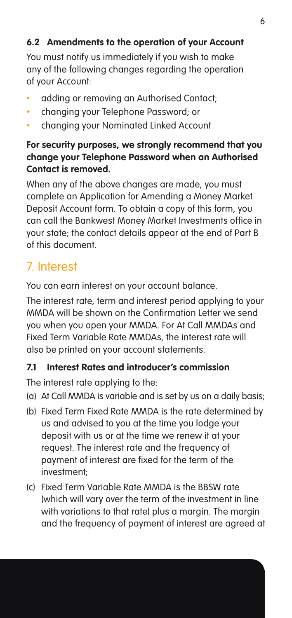#### **6.2 Amendments to the operation of your Account**

You must notify us immediately if you wish to make any of the following changes regarding the operation of your Account:

- adding or removing an Authorised Contact:
- changing your Telephone Password: or
- changing your Nominated Linked Account

#### **For security purposes, we strongly recommend that you change your Telephone Password when an Authorised Contact is removed.**

When any of the above changes are made, you must complete an Application for Amending a Money Market Deposit Account form. To obtain a copy of this form, you can call the Bankwest Money Market Investments office in your state; the contact details appear at the end of Part B of this document.

### 7. Interest

You can earn interest on your account balance.

The interest rate, term and interest period applying to your MMDA will be shown on the Confirmation Letter we send you when you open your MMDA. For At Call MMDAs and Fixed Term Variable Rate MMDAs, the interest rate will also be printed on your account statements.

#### **7.1 Interest Rates and introducer's commission**

The interest rate applying to the:

- (a) At Call MMDA is variable and is set by us on a daily basis;
- (b) Fixed Term Fixed Rate MMDA is the rate determined by us and advised to you at the time you lodge your deposit with us or at the time we renew it at your request. The interest rate and the frequency of payment of interest are fixed for the term of the investment;
- (c) Fixed Term Variable Rate MMDA is the BBSW rate (which will vary over the term of the investment in line with variations to that rate) plus a margin. The margin and the frequency of payment of interest are agreed at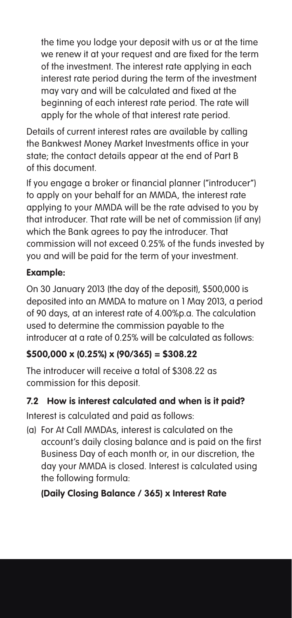the time you lodge your deposit with us or at the time we renew it at your request and are fixed for the term of the investment. The interest rate applying in each interest rate period during the term of the investment may vary and will be calculated and fixed at the beginning of each interest rate period. The rate will apply for the whole of that interest rate period.

Details of current interest rates are available by calling the Bankwest Money Market Investments office in your state; the contact details appear at the end of Part B of this document.

If you engage a broker or financial planner ("introducer") to apply on your behalf for an MMDA, the interest rate applying to your MMDA will be the rate advised to you by that introducer. That rate will be net of commission (if any) which the Bank agrees to pay the introducer. That commission will not exceed 0.25% of the funds invested by you and will be paid for the term of your investment.

#### **Example:**

On 30 January 2013 (the day of the deposit), \$500,000 is deposited into an MMDA to mature on 1 May 2013, a period of 90 days, at an interest rate of 4.00%p.a. The calculation used to determine the commission payable to the introducer at a rate of 0.25% will be calculated as follows:

#### **\$500,000 x (0.25%) x (90/365) = \$308.22**

The introducer will receive a total of \$308.22 as commission for this deposit.

#### **7.2 How is interest calculated and when is it paid?**

Interest is calculated and paid as follows:

(a) For At Call MMDAs, interest is calculated on the account's daily closing balance and is paid on the first Business Day of each month or, in our discretion, the day your MMDA is closed. Interest is calculated using the following formula:

#### **(Daily Closing Balance / 365) x Interest Rate**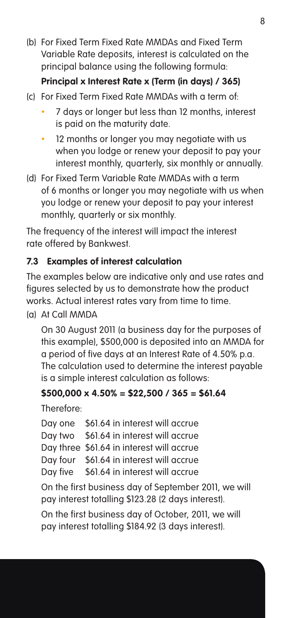(b) For Fixed Term Fixed Rate MMDAs and Fixed Term Variable Rate deposits, interest is calculated on the principal balance using the following formula:

#### **Principal x Interest Rate x (Term (in days) / 365)**

- (c) For Fixed Term Fixed Rate MMDAs with a term of:
	- 7 days or longer but less than 12 months, interest is paid on the maturity date.
	- 12 months or longer you may negotiate with us when you lodge or renew your deposit to pay your interest monthly, quarterly, six monthly or annually.
- (d) For Fixed Term Variable Rate MMDAs with a term of 6 months or longer you may negotiate with us when you lodge or renew your deposit to pay your interest monthly, quarterly or six monthly.

The frequency of the interest will impact the interest rate offered by Bankwest.

#### **7.3 Examples of interest calculation**

The examples below are indicative only and use rates and figures selected by us to demonstrate how the product works. Actual interest rates vary from time to time.

(a) At Call MMDA

On 30 August 2011 (a business day for the purposes of this example), \$500,000 is deposited into an MMDA for a period of five days at an Interest Rate of 4.50% p.a. The calculation used to determine the interest payable is a simple interest calculation as follows:

#### **\$500,000 x 4.50% = \$22,500 / 365 = \$61.64**

Therefore:

|          | Day one \$61.64 in interest will accrue   |
|----------|-------------------------------------------|
|          | Day two \$61.64 in interest will accrue   |
|          | Day three \$61.64 in interest will accrue |
|          | Day four \$61.64 in interest will accrue  |
| Day five | \$61.64 in interest will accrue           |

On the first business day of September 2011, we will pay interest totalling \$123.28 (2 days interest).

On the first business day of October, 2011, we will pay interest totalling \$184.92 (3 days interest).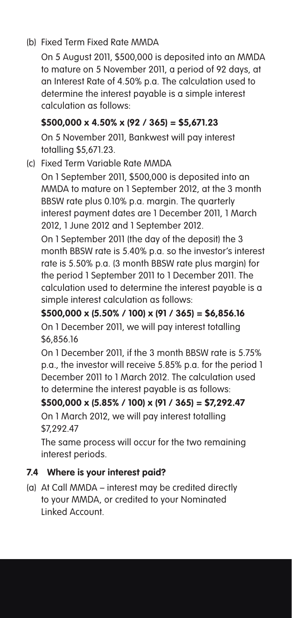#### (b) Fixed Term Fixed Rate MMDA

On 5 August 2011, \$500,000 is deposited into an MMDA to mature on 5 November 2011, a period of 92 days, at an Interest Rate of 4.50% p.a. The calculation used to determine the interest payable is a simple interest calculation as follows:

#### **\$500,000 x 4.50% x (92 / 365) = \$5,671.23**

On 5 November 2011, Bankwest will pay interest totalling \$5,671.23.

(c) Fixed Term Variable Rate MMDA

On 1 September 2011, \$500,000 is deposited into an MMDA to mature on 1 September 2012, at the 3 month BBSW rate plus 0.10% p.a. margin. The quarterly interest payment dates are 1 December 2011, 1 March 2012, 1 June 2012 and 1 September 2012.

On 1 September 2011 (the day of the deposit) the 3 month BBSW rate is 5.40% p.a. so the investor's interest rate is 5.50% p.a. (3 month BBSW rate plus margin) for the period 1 September 2011 to 1 December 2011. The calculation used to determine the interest payable is a simple interest calculation as follows:

**\$500,000 x (5.50% / 100) x (91 / 365) = \$6,856.16** On 1 December 2011, we will pay interest totalling \$6,856.16

On 1 December 2011, if the 3 month BBSW rate is 5.75% p.a., the investor will receive 5.85% p.a. for the period 1 December 2011 to 1 March 2012. The calculation used to determine the interest payable is as follows:

**\$500,000 x (5.85% / 100) x (91 / 365) = \$7,292.47** On 1 March 2012, we will pay interest totalling \$7,292.47

The same process will occur for the two remaining interest periods.

#### **7.4 Where is your interest paid?**

(a) At Call MMDA – interest may be credited directly to your MMDA, or credited to your Nominated Linked Account.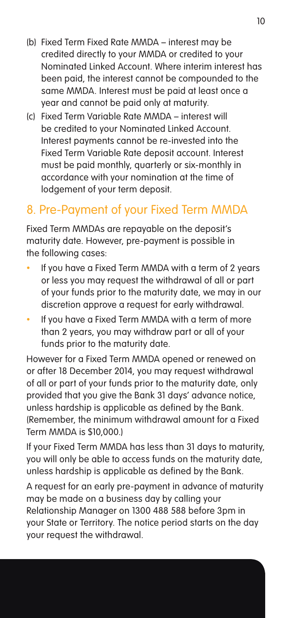- (b) Fixed Term Fixed Rate MMDA interest may be credited directly to your MMDA or credited to your Nominated Linked Account. Where interim interest has been paid, the interest cannot be compounded to the same MMDA. Interest must be paid at least once a year and cannot be paid only at maturity.
- (c) Fixed Term Variable Rate MMDA interest will be credited to your Nominated Linked Account. Interest payments cannot be re-invested into the Fixed Term Variable Rate deposit account. Interest must be paid monthly, quarterly or six-monthly in accordance with your nomination at the time of lodgement of your term deposit.

#### 8. Pre-Payment of your Fixed Term MMDA

Fixed Term MMDAs are repayable on the deposit's maturity date. However, pre-payment is possible in the following cases:

- If you have a Fixed Term MMDA with a term of 2 years or less you may request the withdrawal of all or part of your funds prior to the maturity date, we may in our discretion approve a request for early withdrawal.
- If you have a Fixed Term MMDA with a term of more than 2 years, you may withdraw part or all of your funds prior to the maturity date.

However for a Fixed Term MMDA opened or renewed on or after 18 December 2014, you may request withdrawal of all or part of your funds prior to the maturity date, only provided that you give the Bank 31 days' advance notice, unless hardship is applicable as defined by the Bank. (Remember, the minimum withdrawal amount for a Fixed Term MMDA is \$10,000.)

If your Fixed Term MMDA has less than 31 days to maturity, you will only be able to access funds on the maturity date, unless hardship is applicable as defined by the Bank.

A request for an early pre-payment in advance of maturity may be made on a business day by calling your Relationship Manager on 1300 488 588 before 3pm in your State or Territory. The notice period starts on the day your request the withdrawal.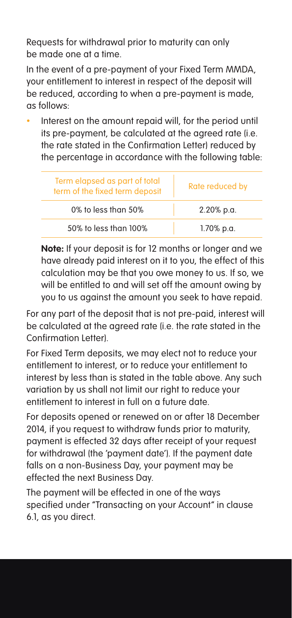Requests for withdrawal prior to maturity can only be made one at a time.

In the event of a pre-payment of your Fixed Term MMDA, your entitlement to interest in respect of the deposit will be reduced, according to when a pre-payment is made, as follows:

Interest on the amount repaid will, for the period until its pre-payment, be calculated at the agreed rate (i.e. the rate stated in the Confirmation Letter) reduced by the percentage in accordance with the following table:

| Term elapsed as part of total<br>term of the fixed term deposit | Rate reduced by |
|-----------------------------------------------------------------|-----------------|
| $0\%$ to less than $50\%$                                       | 2.20% p.a.      |
| 50% to less than 100%                                           | 1.70% p.a.      |

**Note:** If your deposit is for 12 months or longer and we have already paid interest on it to you, the effect of this calculation may be that you owe money to us. If so, we will be entitled to and will set off the amount owing by you to us against the amount you seek to have repaid.

For any part of the deposit that is not pre-paid, interest will be calculated at the agreed rate (i.e. the rate stated in the Confirmation Letter).

For Fixed Term deposits, we may elect not to reduce your entitlement to interest, or to reduce your entitlement to interest by less than is stated in the table above. Any such variation by us shall not limit our right to reduce your entitlement to interest in full on a future date.

For deposits opened or renewed on or after 18 December 2014, if you request to withdraw funds prior to maturity, payment is effected 32 days after receipt of your request for withdrawal (the 'payment date'). If the payment date falls on a non-Business Day, your payment may be effected the next Business Day.

The payment will be effected in one of the ways specified under "Transacting on your Account" in clause 6.1, as you direct.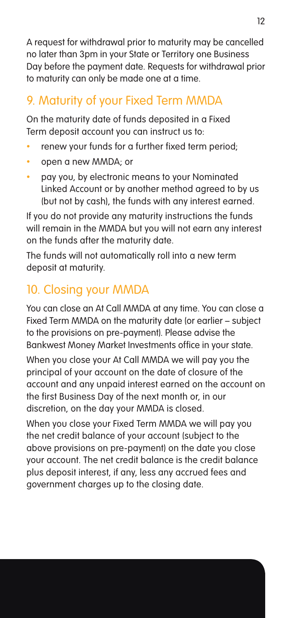A request for withdrawal prior to maturity may be cancelled no later than 3pm in your State or Territory one Business Day before the payment date. Requests for withdrawal prior to maturity can only be made one at a time.

### 9. Maturity of your Fixed Term MMDA

On the maturity date of funds deposited in a Fixed Term deposit account you can instruct us to:

- renew your funds for a further fixed term period;
- open a new MMDA; or
- pay you, by electronic means to your Nominated Linked Account or by another method agreed to by us (but not by cash), the funds with any interest earned.

If you do not provide any maturity instructions the funds will remain in the MMDA but you will not earn any interest on the funds after the maturity date.

The funds will not automatically roll into a new term deposit at maturity.

### 10. Closing your MMDA

You can close an At Call MMDA at any time. You can close a Fixed Term MMDA on the maturity date (or earlier – subject to the provisions on pre-payment). Please advise the Bankwest Money Market Investments office in your state.

When you close your At Call MMDA we will pay you the principal of your account on the date of closure of the account and any unpaid interest earned on the account on the first Business Day of the next month or, in our discretion, on the day your MMDA is closed.

When you close your Fixed Term MMDA we will pay you the net credit balance of your account (subject to the above provisions on pre-payment) on the date you close your account. The net credit balance is the credit balance plus deposit interest, if any, less any accrued fees and government charges up to the closing date.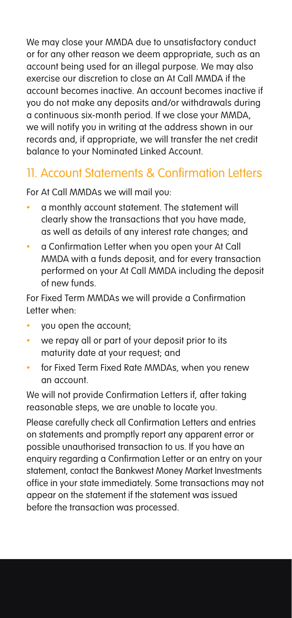We may close your MMDA due to unsatisfactory conduct or for any other reason we deem appropriate, such as an account being used for an illegal purpose. We may also exercise our discretion to close an At Call MMDA if the account becomes inactive. An account becomes inactive if you do not make any deposits and/or withdrawals during a continuous six-month period. If we close your MMDA, we will notify you in writing at the address shown in our records and, if appropriate, we will transfer the net credit balance to your Nominated Linked Account.

### 11. Account Statements & Confirmation Letters

For At Call MMDAs we will mail you:

- a monthly account statement. The statement will clearly show the transactions that you have made, as well as details of any interest rate changes; and
- a Confirmation Letter when you open your At Call MMDA with a funds deposit, and for every transaction performed on your At Call MMDA including the deposit of new funds.

For Fixed Term MMDAs we will provide a Confirmation Letter when:

- you open the account:
- we repay all or part of your deposit prior to its maturity date at your request; and
- for Fixed Term Fixed Rate MMDAs, when you renew an account.

We will not provide Confirmation Letters if, after taking reasonable steps, we are unable to locate you.

Please carefully check all Confirmation Letters and entries on statements and promptly report any apparent error or possible unauthorised transaction to us. If you have an enquiry regarding a Confirmation Letter or an entry on your statement, contact the Bankwest Money Market Investments office in your state immediately. Some transactions may not appear on the statement if the statement was issued before the transaction was processed.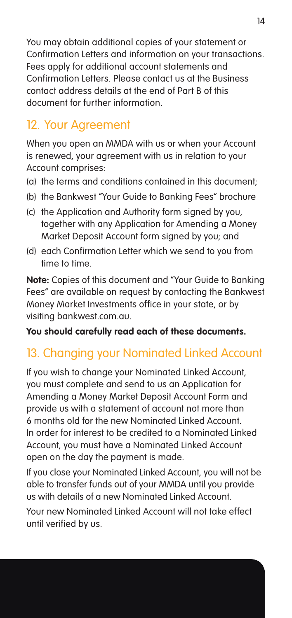You may obtain additional copies of your statement or Confirmation Letters and information on your transactions. Fees apply for additional account statements and Confirmation Letters. Please contact us at the Business contact address details at the end of Part B of this document for further information.

### 12. Your Agreement

When you open an MMDA with us or when your Account is renewed, your agreement with us in relation to your Account comprises:

- (a) the terms and conditions contained in this document;
- (b) the Bankwest "Your Guide to Banking Fees" brochure
- (c) the Application and Authority form signed by you, together with any Application for Amending a Money Market Deposit Account form signed by you; and
- (d) each Confirmation Letter which we send to you from time to time.

**Note:** Copies of this document and "Your Guide to Banking Fees" are available on request by contacting the Bankwest Money Market Investments office in your state, or by visiting bankwest.com.au.

**You should carefully read each of these documents.**

### 13. Changing your Nominated Linked Account

If you wish to change your Nominated Linked Account, you must complete and send to us an Application for Amending a Money Market Deposit Account Form and provide us with a statement of account not more than 6 months old for the new Nominated Linked Account. In order for interest to be credited to a Nominated Linked Account, you must have a Nominated Linked Account open on the day the payment is made.

If you close your Nominated Linked Account, you will not be able to transfer funds out of your MMDA until you provide us with details of a new Nominated Linked Account.

Your new Nominated Linked Account will not take effect until verified by us.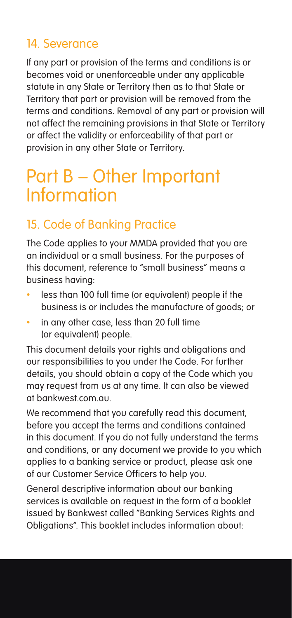### 14. Severance

If any part or provision of the terms and conditions is or becomes void or unenforceable under any applicable statute in any State or Territory then as to that State or Territory that part or provision will be removed from the terms and conditions. Removal of any part or provision will not affect the remaining provisions in that State or Territory or affect the validity or enforceability of that part or provision in any other State or Territory.

# Part B – Other Important Information

### 15. Code of Banking Practice

The Code applies to your MMDA provided that you are an individual or a small business. For the purposes of this document, reference to "small business" means a business having:

- less than 100 full time (or equivalent) people if the business is or includes the manufacture of goods; or
- in any other case, less than 20 full time (or equivalent) people.

This document details your rights and obligations and our responsibilities to you under the Code. For further details, you should obtain a copy of the Code which you may request from us at any time. It can also be viewed at bankwest.com.au.

We recommend that you carefully read this document. before you accept the terms and conditions contained in this document. If you do not fully understand the terms and conditions, or any document we provide to you which applies to a banking service or product, please ask one of our Customer Service Officers to help you.

General descriptive information about our banking services is available on request in the form of a booklet issued by Bankwest called "Banking Services Rights and Obligations". This booklet includes information about: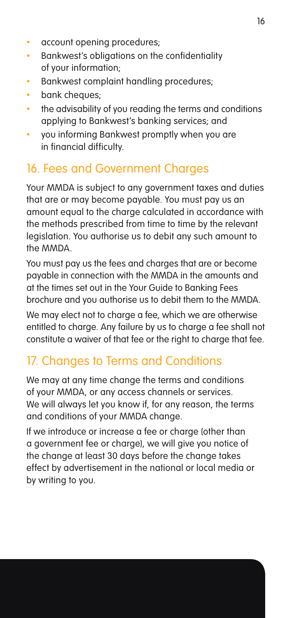- account opening procedures:
- • Bankwest's obligations on the confidentiality of your information;
- Bankwest complaint handling procedures;
- bank cheques:
- the advisability of you reading the terms and conditions applying to Bankwest's banking services; and
- • you informing Bankwest promptly when you are in financial difficulty.

#### 16. Fees and Government Charges

Your MMDA is subject to any government taxes and duties that are or may become payable. You must pay us an amount equal to the charge calculated in accordance with the methods prescribed from time to time by the relevant legislation. You authorise us to debit any such amount to the MMDA.

You must pay us the fees and charges that are or become payable in connection with the MMDA in the amounts and at the times set out in the Your Guide to Banking Fees brochure and you authorise us to debit them to the MMDA.

We may elect not to charge a fee, which we are otherwise entitled to charge. Any failure by us to charge a fee shall not constitute a waiver of that fee or the right to charge that fee.

#### 17. Changes to Terms and Conditions

We may at any time change the terms and conditions of your MMDA, or any access channels or services. We will always let you know if, for any reason, the terms and conditions of your MMDA change.

If we introduce or increase a fee or charge (other than a government fee or charge), we will give you notice of the change at least 30 days before the change takes effect by advertisement in the national or local media or by writing to you.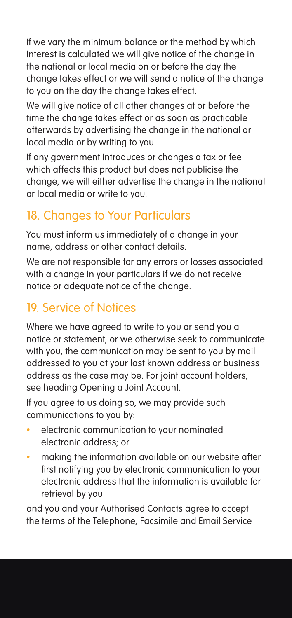If we vary the minimum balance or the method by which interest is calculated we will give notice of the change in the national or local media on or before the day the change takes effect or we will send a notice of the change to you on the day the change takes effect.

We will give notice of all other changes at or before the time the change takes effect or as soon as practicable afterwards by advertising the change in the national or local media or by writing to you.

If any government introduces or changes a tax or fee which affects this product but does not publicise the change, we will either advertise the change in the national or local media or write to you.

### 18. Changes to Your Particulars

You must inform us immediately of a change in your name, address or other contact details.

We are not responsible for any errors or losses associated with a change in your particulars if we do not receive notice or adequate notice of the change.

### 19. Service of Notices

Where we have agreed to write to you or send you a notice or statement, or we otherwise seek to communicate with you, the communication may be sent to you by mail addressed to you at your last known address or business address as the case may be. For joint account holders, see heading Opening a Joint Account.

If you agree to us doing so, we may provide such communications to you by:

- electronic communication to your nominated electronic address; or
- making the information available on our website after first notifying you by electronic communication to your electronic address that the information is available for retrieval by you

and you and your Authorised Contacts agree to accept the terms of the Telephone, Facsimile and Email Service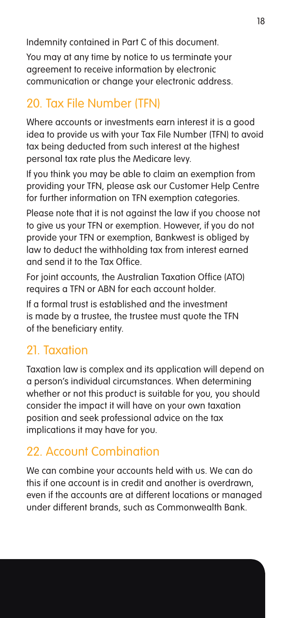Indemnity contained in Part C of this document.

You may at any time by notice to us terminate your agreement to receive information by electronic communication or change your electronic address.

### 20. Tax File Number (TFN)

Where accounts or investments earn interest it is a good idea to provide us with your Tax File Number (TFN) to avoid tax being deducted from such interest at the highest personal tax rate plus the Medicare levy.

If you think you may be able to claim an exemption from providing your TFN, please ask our Customer Help Centre for further information on TFN exemption categories.

Please note that it is not against the law if you choose not to give us your TFN or exemption. However, if you do not provide your TFN or exemption, Bankwest is obliged by law to deduct the withholding tax from interest earned and send it to the Tax Office.

For joint accounts, the Australian Taxation Office (ATO) requires a TFN or ABN for each account holder.

If a formal trust is established and the investment is made by a trustee, the trustee must quote the TFN of the beneficiary entity.

### 21. Taxation

Taxation law is complex and its application will depend on a person's individual circumstances. When determining whether or not this product is suitable for you, you should consider the impact it will have on your own taxation position and seek professional advice on the tax implications it may have for you.

### 22. Account Combination

We can combine your accounts held with us. We can do this if one account is in credit and another is overdrawn, even if the accounts are at different locations or managed under different brands, such as Commonwealth Bank.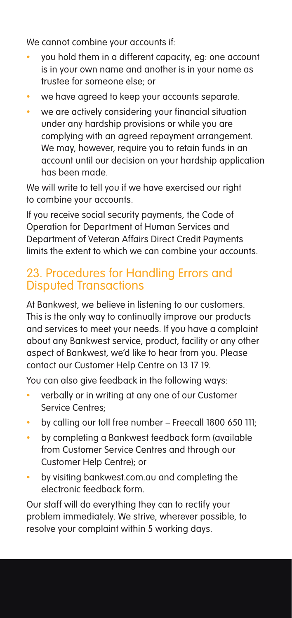We cannot combine your accounts if:

- you hold them in a different capacity, eg: one account is in your own name and another is in your name as trustee for someone else; or
- we have agreed to keep your accounts separate.
- we are actively considering your financial situation under any hardship provisions or while you are complying with an agreed repayment arrangement. We may, however, require you to retain funds in an account until our decision on your hardship application has been made.

We will write to tell you if we have exercised our right to combine your accounts.

If you receive social security payments, the Code of Operation for Department of Human Services and Department of Veteran Affairs Direct Credit Payments limits the extent to which we can combine your accounts.

#### 23. Procedures for Handling Errors and Disputed Transactions

At Bankwest, we believe in listening to our customers. This is the only way to continually improve our products and services to meet your needs. If you have a complaint about any Bankwest service, product, facility or any other aspect of Bankwest, we'd like to hear from you. Please contact our Customer Help Centre on 13 17 19.

You can also give feedback in the following ways:

- verbally or in writing at any one of our Customer Service Centres;
- by calling our toll free number Freecall 1800 650 111;
- • by completing a Bankwest feedback form (available from Customer Service Centres and through our Customer Help Centre); or
- by visiting bankwest.com.au and completing the electronic feedback form.

Our staff will do everything they can to rectify your problem immediately. We strive, wherever possible, to resolve your complaint within 5 working days.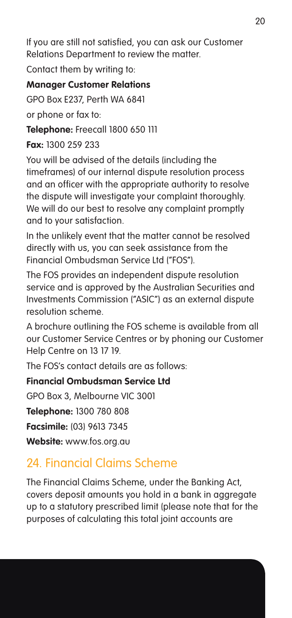If you are still not satisfied, you can ask our Customer Relations Department to review the matter.

Contact them by writing to:

#### **Manager Customer Relations**

GPO Box E237, Perth WA 6841

or phone or fax to:

**Telephone:** Freecall 1800 650 111

**Fax:** 1300 259 233

You will be advised of the details (including the timeframes) of our internal dispute resolution process and an officer with the appropriate authority to resolve the dispute will investigate your complaint thoroughly. We will do our best to resolve any complaint promptly and to your satisfaction.

In the unlikely event that the matter cannot be resolved directly with us, you can seek assistance from the Financial Ombudsman Service Ltd ("FOS").

The FOS provides an independent dispute resolution service and is approved by the Australian Securities and Investments Commission ("ASIC") as an external dispute resolution scheme.

A brochure outlining the FOS scheme is available from all our Customer Service Centres or by phoning our Customer Help Centre on 13 17 19.

The FOS's contact details are as follows:

**Financial Ombudsman Service Ltd** 

GPO Box 3, Melbourne VIC 3001

**Telephone:** 1300 780 808

**Facsimile:** (03) 9613 7345

**Website:** www.fos.org.au

### 24. Financial Claims Scheme

The Financial Claims Scheme, under the Banking Act, covers deposit amounts you hold in a bank in aggregate up to a statutory prescribed limit (please note that for the purposes of calculating this total joint accounts are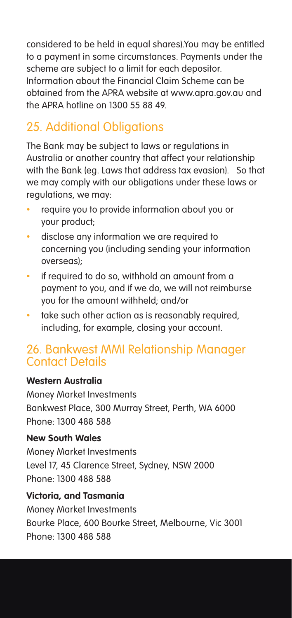considered to be held in equal shares).You may be entitled to a payment in some circumstances. Payments under the scheme are subject to a limit for each depositor. Information about the Financial Claim Scheme can be obtained from the APRA website at www.apra.gov.au and the APRA hotline on 1300 55 88 49.

### 25. Additional Obligations

The Bank may be subject to laws or regulations in Australia or another country that affect your relationship with the Bank (eg. Laws that address tax evasion). So that we may comply with our obligations under these laws or regulations, we may:

- require you to provide information about you or your product;
- • disclose any information we are required to concerning you (including sending your information overseas);
- if required to do so, withhold an amount from a payment to you, and if we do, we will not reimburse you for the amount withheld; and/or
- take such other action as is reasonably required, including, for example, closing your account.

#### 26. Bankwest MMI Relationship Manager Contact Details

#### **Western Australia**

Money Market Investments Bankwest Place, 300 Murray Street, Perth, WA 6000 Phone: 1300 488 588

#### **New South Wales**

Money Market Investments Level 17, 45 Clarence Street, Sydney, NSW 2000 Phone: 1300 488 588

#### **Victoria, and Tasmania**

Money Market Investments Bourke Place, 600 Bourke Street, Melbourne, Vic 3001 Phone: 1300 488 588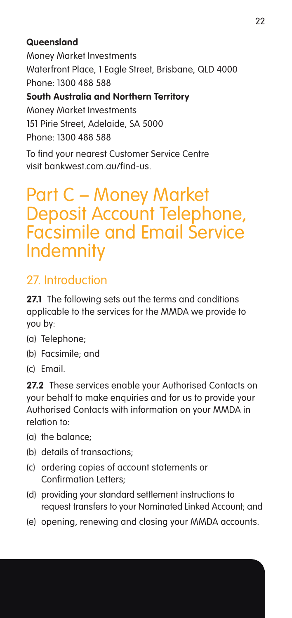#### **Queensland**

Money Market Investments Waterfront Place, 1 Eagle Street, Brisbane, QLD 4000 Phone: 1300 488 588 **South Australia and Northern Territory** Money Market Investments 151 Pirie Street, Adelaide, SA 5000 Phone: 1300 488 588

To find your nearest Customer Service Centre visit bankwest.com.au/find-us.

## Part C – Money Market Deposit Account Telephone, Facsimile and Email Service Indemnity

### 27. Introduction

**27.1** The following sets out the terms and conditions applicable to the services for the MMDA we provide to you by:

- (a) Telephone;
- (b) Facsimile; and
- (c) Email.

27.2 These services enable your Authorised Contacts on your behalf to make enquiries and for us to provide your Authorised Contacts with information on your MMDA in relation to:

- (a) the balance;
- (b) details of transactions;
- (c) ordering copies of account statements or Confirmation Letters;
- (d) providing your standard settlement instructions to request transfers to your Nominated Linked Account; and
- (e) opening, renewing and closing your MMDA accounts.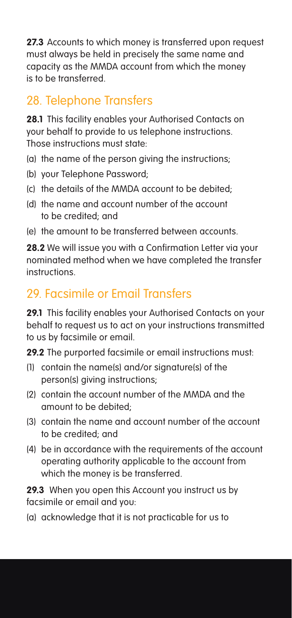**27.3** Accounts to which money is transferred upon request must always be held in precisely the same name and capacity as the MMDA account from which the money is to be transferred.

### 28. Telephone Transfers

**28.1** This facility enables your Authorised Contacts on your behalf to provide to us telephone instructions. Those instructions must state:

- (a) the name of the person giving the instructions;
- (b) your Telephone Password;
- (c) the details of the MMDA account to be debited;
- (d) the name and account number of the account to be credited; and
- (e) the amount to be transferred between accounts.

**28.2** We will issue you with a Confirmation Letter via your nominated method when we have completed the transfer instructions.

### 29. Facsimile or Email Transfers

**29.1** This facility enables your Authorised Contacts on your behalf to request us to act on your instructions transmitted to us by facsimile or email.

**29.2** The purported facsimile or email instructions must:

- (1) contain the name(s) and/or signature(s) of the person(s) giving instructions;
- (2) contain the account number of the MMDA and the amount to be debited;
- (3) contain the name and account number of the account to be credited; and
- (4) be in accordance with the requirements of the account operating authority applicable to the account from which the money is be transferred.

**29.3** When you open this Account you instruct us by facsimile or email and you:

(a) acknowledge that it is not practicable for us to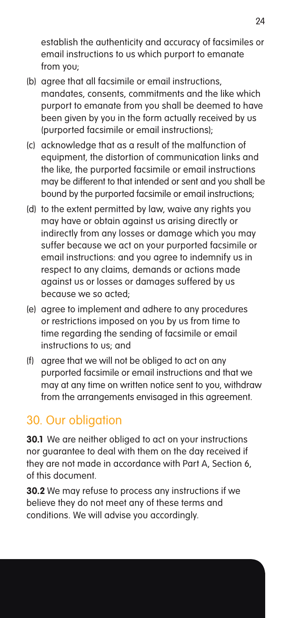establish the authenticity and accuracy of facsimiles or email instructions to us which purport to emanate from you;

- (b) agree that all facsimile or email instructions, mandates, consents, commitments and the like which purport to emanate from you shall be deemed to have been given by you in the form actually received by us (purported facsimile or email instructions);
- (c) acknowledge that as a result of the malfunction of equipment, the distortion of communication links and the like, the purported facsimile or email instructions may be different to that intended or sent and you shall be bound by the purported facsimile or email instructions;
- (d) to the extent permitted by law, waive any rights you may have or obtain against us arising directly or indirectly from any losses or damage which you may suffer because we act on your purported facsimile or email instructions: and you agree to indemnify us in respect to any claims, demands or actions made against us or losses or damages suffered by us because we so acted;
- (e) agree to implement and adhere to any procedures or restrictions imposed on you by us from time to time regarding the sending of facsimile or email instructions to us; and
- (f) agree that we will not be obliged to act on any purported facsimile or email instructions and that we may at any time on written notice sent to you, withdraw from the arrangements envisaged in this agreement.

### 30. Our obligation

**30.1** We are neither obliged to act on your instructions nor guarantee to deal with them on the day received if they are not made in accordance with Part A, Section 6, of this document.

**30.2** We may refuse to process any instructions if we believe they do not meet any of these terms and conditions. We will advise you accordingly.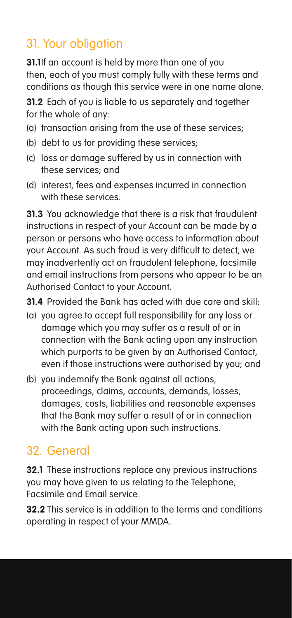### 31. Your obligation

**31.1**If an account is held by more than one of you then, each of you must comply fully with these terms and conditions as though this service were in one name alone.

**31.2** Each of you is liable to us separately and together for the whole of any:

- (a) transaction arising from the use of these services;
- (b) debt to us for providing these services;
- (c) loss or damage suffered by us in connection with these services; and
- (d) interest, fees and expenses incurred in connection with these services.

**31.3** You acknowledge that there is a risk that fraudulent instructions in respect of your Account can be made by a person or persons who have access to information about your Account. As such fraud is very difficult to detect, we may inadvertently act on fraudulent telephone, facsimile and email instructions from persons who appear to be an Authorised Contact to your Account.

**31.4** Provided the Bank has acted with due care and skill:

- (a) you agree to accept full responsibility for any loss or damage which you may suffer as a result of or in connection with the Bank acting upon any instruction which purports to be given by an Authorised Contact, even if those instructions were authorised by you; and
- (b) you indemnify the Bank against all actions, proceedings, claims, accounts, demands, losses, damages, costs, liabilities and reasonable expenses that the Bank may suffer a result of or in connection with the Bank acting upon such instructions.

### 32. General

**32.1** These instructions replace any previous instructions you may have given to us relating to the Telephone, Facsimile and Email service.

**32.2** This service is in addition to the terms and conditions operating in respect of your MMDA.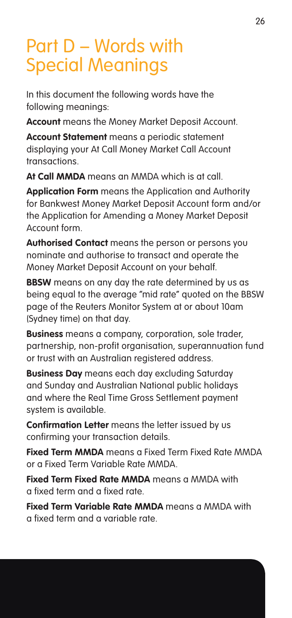# Part D – Words with Special Meanings

In this document the following words have the following meanings:

**Account** means the Money Market Deposit Account.

**Account Statement** means a periodic statement displaying your At Call Money Market Call Account transactions.

**At Call MMDA** means an MMDA which is at call.

**Application Form** means the Application and Authority for Bankwest Money Market Deposit Account form and/or the Application for Amending a Money Market Deposit Account form.

**Authorised Contact** means the person or persons you nominate and authorise to transact and operate the Money Market Deposit Account on your behalf.

**BBSW** means on any day the rate determined by us as being equal to the average "mid rate" quoted on the BBSW page of the Reuters Monitor System at or about 10am (Sydney time) on that day.

**Business** means a company, corporation, sole trader, partnership, non-profit organisation, superannuation fund or trust with an Australian registered address.

**Business Day** means each day excluding Saturday and Sunday and Australian National public holidays and where the Real Time Gross Settlement payment system is available.

**Confirmation Letter** means the letter issued by us confirming your transaction details.

**Fixed Term MMDA** means a Fixed Term Fixed Rate MMDA or a Fixed Term Variable Rate MMDA.

**Fixed Term Fixed Rate MMDA** means a MMDA with a fixed term and a fixed rate.

**Fixed Term Variable Rate MMDA** means a MMDA with a fixed term and a variable rate.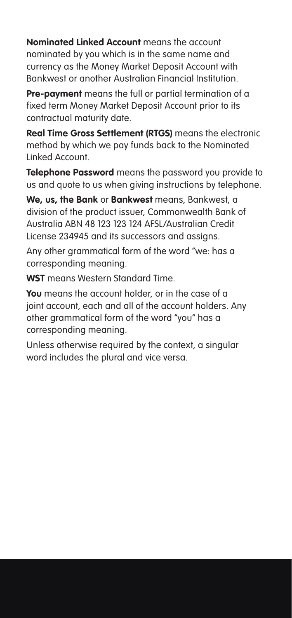**Nominated Linked Account** means the account nominated by you which is in the same name and currency as the Money Market Deposit Account with Bankwest or another Australian Financial Institution.

**Pre-payment** means the full or partial termination of a fixed term Money Market Deposit Account prior to its contractual maturity date.

**Real Time Gross Settlement (RTGS)** means the electronic method by which we pay funds back to the Nominated Linked Account.

**Telephone Password** means the password you provide to us and quote to us when giving instructions by telephone.

**We, us, the Bank** or **Bankwest** means, Bankwest, a division of the product issuer, Commonwealth Bank of Australia ABN 48 123 123 124 AFSL/Australian Credit License 234945 and its successors and assigns.

Any other grammatical form of the word "we: has a corresponding meaning.

**WST** means Western Standard Time.

**You** means the account holder, or in the case of a joint account, each and all of the account holders. Any other grammatical form of the word "you" has a corresponding meaning.

Unless otherwise required by the context, a singular word includes the plural and vice versa.